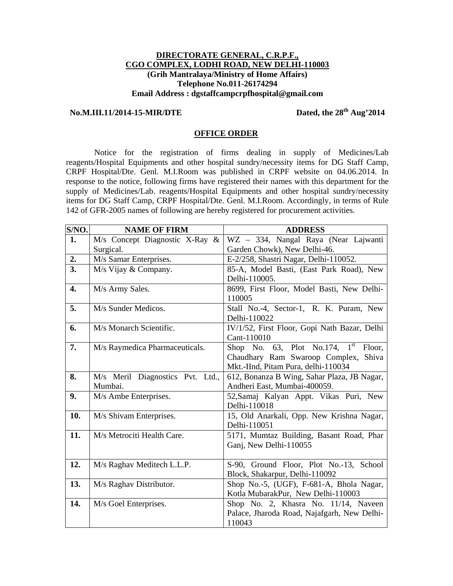## **DIRECTORATE GENERAL, C.R.P.F., CGO COMPLEX, LODHI ROAD, NEW DELHI-110003 (Grih Mantralaya/Ministry of Home Affairs) Telephone No.011-26174294 Email Address : dgstaffcampcrpfhospital@gmail.com**

## **No.M.III.11/2014-15-MIR/DTE Dated, the 28th Aug'2014**

## **OFFICE ORDER**

 Notice for the registration of firms dealing in supply of Medicines/Lab reagents/Hospital Equipments and other hospital sundry/necessity items for DG Staff Camp, CRPF Hospital/Dte. Genl. M.I.Room was published in CRPF website on 04.06.2014. In response to the notice, following firms have registered their names with this department for the supply of Medicines/Lab. reagents/Hospital Equipments and other hospital sundry/necessity items for DG Staff Camp, CRPF Hospital/Dte. Genl. M.I.Room. Accordingly, in terms of Rule 142 of GFR-2005 names of following are hereby registered for procurement activities.

| S/NO.            | <b>NAME OF FIRM</b>              | <b>ADDRESS</b>                               |
|------------------|----------------------------------|----------------------------------------------|
| 1.               | M/s Concept Diagnostic X-Ray &   | WZ - 334, Nangal Raya (Near Lajwanti         |
|                  | Surgical.                        | Garden Chowk), New Delhi-46.                 |
| 2.               | M/s Samar Enterprises.           | E-2/258, Shastri Nagar, Delhi-110052.        |
| $\overline{3}$ . | M/s Vijay & Company.             | 85-A, Model Basti, (East Park Road), New     |
|                  |                                  | Delhi-110005.                                |
| 4.               | M/s Army Sales.                  | 8699, First Floor, Model Basti, New Delhi-   |
|                  |                                  | 110005                                       |
| 5.               | M/s Sunder Medicos.              | Stall No.-4, Sector-1, R. K. Puram, New      |
|                  |                                  | Delhi-110022                                 |
| 6.               | M/s Monarch Scientific.          | IV/1/52, First Floor, Gopi Nath Bazar, Delhi |
|                  |                                  | Cant-110010                                  |
| 7.               | M/s Raymedica Pharmaceuticals.   | Shop No. 63, Plot No.174, $1^{st}$<br>Floor, |
|                  |                                  | Chaudhary Ram Swaroop Complex, Shiva         |
|                  |                                  | Mkt.-IInd, Pitam Pura, delhi-110034          |
| 8.               | M/s Meril Diagnostics Pvt. Ltd., | 612, Bonanza B Wing, Sahar Plaza, JB Nagar,  |
|                  | Mumbai.                          | Andheri East, Mumbai-400059.                 |
| 9.               | M/s Ambe Enterprises.            | 52, Samaj Kalyan Appt. Vikas Puri, New       |
|                  |                                  | Delhi-110018                                 |
| 10.              | M/s Shivam Enterprises.          | 15, Old Anarkali, Opp. New Krishna Nagar,    |
|                  |                                  | Delhi-110051                                 |
| 11.              | M/s Metrociti Health Care.       | 5171, Mumtaz Building, Basant Road, Phar     |
|                  |                                  | Ganj, New Delhi-110055                       |
|                  |                                  |                                              |
| 12.              | M/s Raghav Meditech L.L.P.       | S-90, Ground Floor, Plot No.-13, School      |
|                  |                                  | Block, Shakarpur, Delhi-110092               |
| 13.              | M/s Raghav Distributor.          | Shop No.-5, (UGF), F-681-A, Bhola Nagar,     |
|                  |                                  | Kotla MubarakPur, New Delhi-110003           |
| 14.              | M/s Goel Enterprises.            | Shop No. 2, Khasra No. 11/14, Naveen         |
|                  |                                  | Palace, Jharoda Road, Najafgarh, New Delhi-  |
|                  |                                  | 110043                                       |